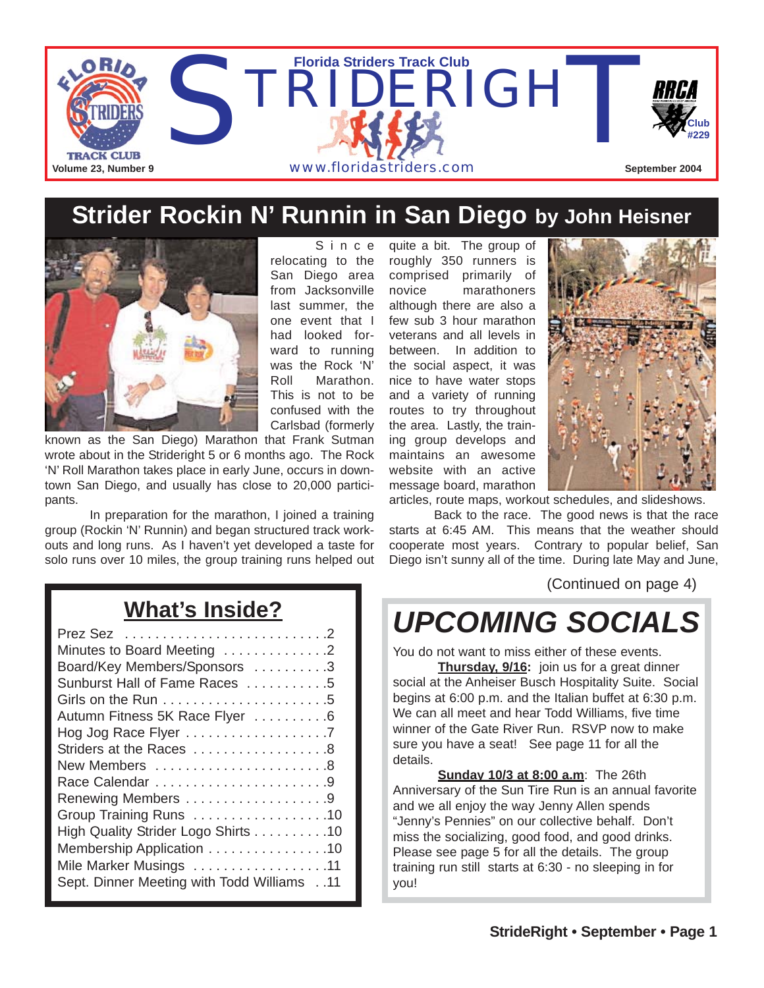

### **Strider Rockin N' Runnin in San Diego by John Heisner**



Since relocating to the San Diego area from Jacksonville last summer, the one event that I had looked forward to running was the Rock 'N' Roll Marathon. This is not to be confused with the Carlsbad (formerly

known as the San Diego) Marathon that Frank Sutman wrote about in the Strideright 5 or 6 months ago. The Rock 'N' Roll Marathon takes place in early June, occurs in downtown San Diego, and usually has close to 20,000 participants.

In preparation for the marathon, I joined a training group (Rockin 'N' Runnin) and began structured track workouts and long runs. As I haven't yet developed a taste for solo runs over 10 miles, the group training runs helped out

quite a bit. The group of roughly 350 runners is comprised primarily of novice marathoners although there are also a few sub 3 hour marathon veterans and all levels in between. In addition to the social aspect, it was nice to have water stops and a variety of running routes to try throughout the area. Lastly, the training group develops and maintains an awesome website with an active message board, marathon



articles, route maps, workout schedules, and slideshows.

Back to the race. The good news is that the race starts at 6:45 AM. This means that the weather should cooperate most years. Contrary to popular belief, San Diego isn't sunny all of the time. During late May and June,

(Continued on page 4)

# *UPCOMING SOCIALS*

You do not want to miss either of these events.

**Thursday, 9/16:** join us for a great dinner social at the Anheiser Busch Hospitality Suite. Social begins at 6:00 p.m. and the Italian buffet at 6:30 p.m. We can all meet and hear Todd Williams, five time winner of the Gate River Run. RSVP now to make sure you have a seat! See page 11 for all the details.

**Sunday 10/3 at 8:00 a.m**: The 26th Anniversary of the Sun Tire Run is an annual favorite and we all enjoy the way Jenny Allen spends "Jenny's Pennies" on our collective behalf. Don't miss the socializing, good food, and good drinks. Please see page 5 for all the details. The group training run still starts at 6:30 - no sleeping in for you!

## **What's Inside?**

| Minutes to Board Meeting 2                    |
|-----------------------------------------------|
| Board/Key Members/Sponsors 3                  |
| Sunburst Hall of Fame Races 5                 |
|                                               |
| Autumn Fitness 5K Race Flyer 6                |
| Hog Jog Race Flyer 7                          |
| Striders at the Races 8                       |
| New Members 8                                 |
|                                               |
|                                               |
| Group Training Runs 10                        |
| High Quality Strider Logo Shirts 10           |
| Membership Application 10                     |
| Mile Marker Musings 11                        |
| 11. . Sept. Dinner Meeting with Todd Williams |
|                                               |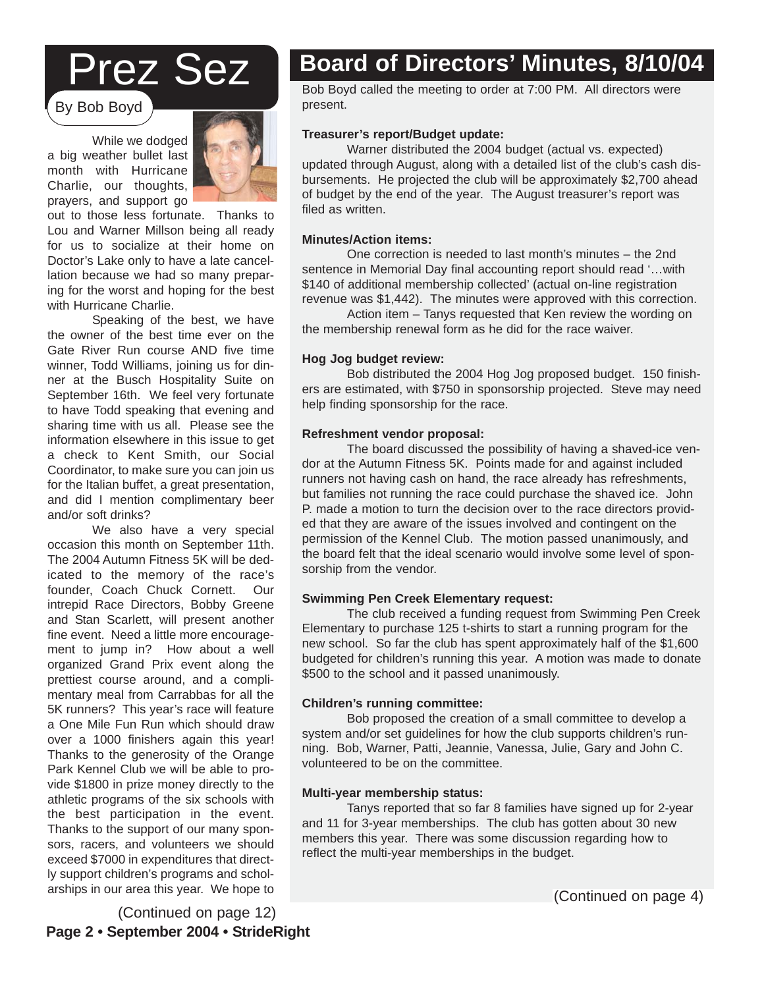# Prez Sez

By Bob Boyd

While we dodged a big weather bullet last month with Hurricane Charlie, our thoughts, prayers, and support go



out to those less fortunate. Thanks to Lou and Warner Millson being all ready for us to socialize at their home on Doctor's Lake only to have a late cancellation because we had so many preparing for the worst and hoping for the best with Hurricane Charlie.

Speaking of the best, we have the owner of the best time ever on the Gate River Run course AND five time winner, Todd Williams, joining us for dinner at the Busch Hospitality Suite on September 16th. We feel very fortunate to have Todd speaking that evening and sharing time with us all. Please see the information elsewhere in this issue to get a check to Kent Smith, our Social Coordinator, to make sure you can join us for the Italian buffet, a great presentation, and did I mention complimentary beer and/or soft drinks?

We also have a very special occasion this month on September 11th. The 2004 Autumn Fitness 5K will be dedicated to the memory of the race's founder, Coach Chuck Cornett. Our intrepid Race Directors, Bobby Greene and Stan Scarlett, will present another fine event. Need a little more encouragement to jump in? How about a well organized Grand Prix event along the prettiest course around, and a complimentary meal from Carrabbas for all the 5K runners? This year's race will feature a One Mile Fun Run which should draw over a 1000 finishers again this year! Thanks to the generosity of the Orange Park Kennel Club we will be able to provide \$1800 in prize money directly to the athletic programs of the six schools with the best participation in the event. Thanks to the support of our many sponsors, racers, and volunteers we should exceed \$7000 in expenditures that directly support children's programs and scholarships in our area this year. We hope to

## **Board of Directors' Minutes, 8/10/04**

Bob Boyd called the meeting to order at 7:00 PM. All directors were present.

### **Treasurer's report/Budget update:**

Warner distributed the 2004 budget (actual vs. expected) updated through August, along with a detailed list of the club's cash disbursements. He projected the club will be approximately \$2,700 ahead of budget by the end of the year. The August treasurer's report was filed as written.

#### **Minutes/Action items:**

One correction is needed to last month's minutes – the 2nd sentence in Memorial Day final accounting report should read '…with \$140 of additional membership collected' (actual on-line registration revenue was \$1,442). The minutes were approved with this correction.

Action item – Tanys requested that Ken review the wording on the membership renewal form as he did for the race waiver.

#### **Hog Jog budget review:**

Bob distributed the 2004 Hog Jog proposed budget. 150 finishers are estimated, with \$750 in sponsorship projected. Steve may need help finding sponsorship for the race.

#### **Refreshment vendor proposal:**

The board discussed the possibility of having a shaved-ice vendor at the Autumn Fitness 5K. Points made for and against included runners not having cash on hand, the race already has refreshments, but families not running the race could purchase the shaved ice. John P. made a motion to turn the decision over to the race directors provided that they are aware of the issues involved and contingent on the permission of the Kennel Club. The motion passed unanimously, and the board felt that the ideal scenario would involve some level of sponsorship from the vendor.

#### **Swimming Pen Creek Elementary request:**

budgeted for children's running this year. A motion was made to donate The club received a funding request from Swimming Pen Creek Elementary to purchase 125 t-shirts to start a running program for the new school. So far the club has spent approximately half of the \$1,600 \$500 to the school and it passed unanimously.

We have enjoyed a 10% merchan-

### discounts from 1st Place Sports from 1st Place Sports for the 1st Place Sports for 1st Place Sports for 1st Place Sports for 1st Place Sports for 1st Place Sports for 1st Place Sports for 1st Place Sports for 1st Place Spo

Bob proposed the creation of a small committee to develop a<br>Bob proposed the creation of a small committee to develop a system and/or set guidelines for now the club supports children's fun-<br>ning. Bob, Warner, Patti, Jeannie, Vanessa, Julie, Gary and John C. volunteered to be on the committee. system and/or set guidelines for how the club supports children's run-

### $\blacksquare$ Multi-year membership status:

Tanys reported that so far 8 families have signed up for 2-year and TT for 3-year memberships. The club has gotten about 30 he<br>members this year. There was some discussion regarding how to members the year there has exited accuracion regarding from the reflect the multi-year memberships in the budget. and 11 for 3-year memberships. The club has gotten about 30 new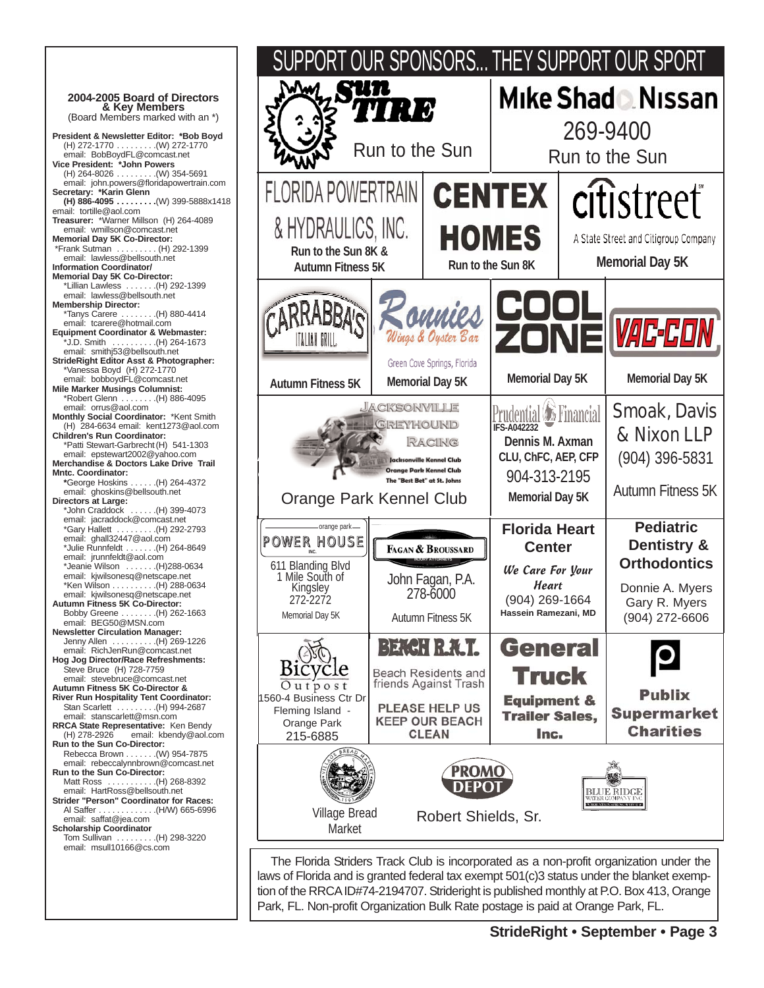

Autumn Fitness 5K

**Pediatric Dentistry & Orthodontics** Donnie A. Myers Gary R. Myers (904) 272-6606

**Publix** 

**Supermarket** 

**Charities** 

Smoak, Davis & Nixon LLP (904) 396-5831

**VAC-CO**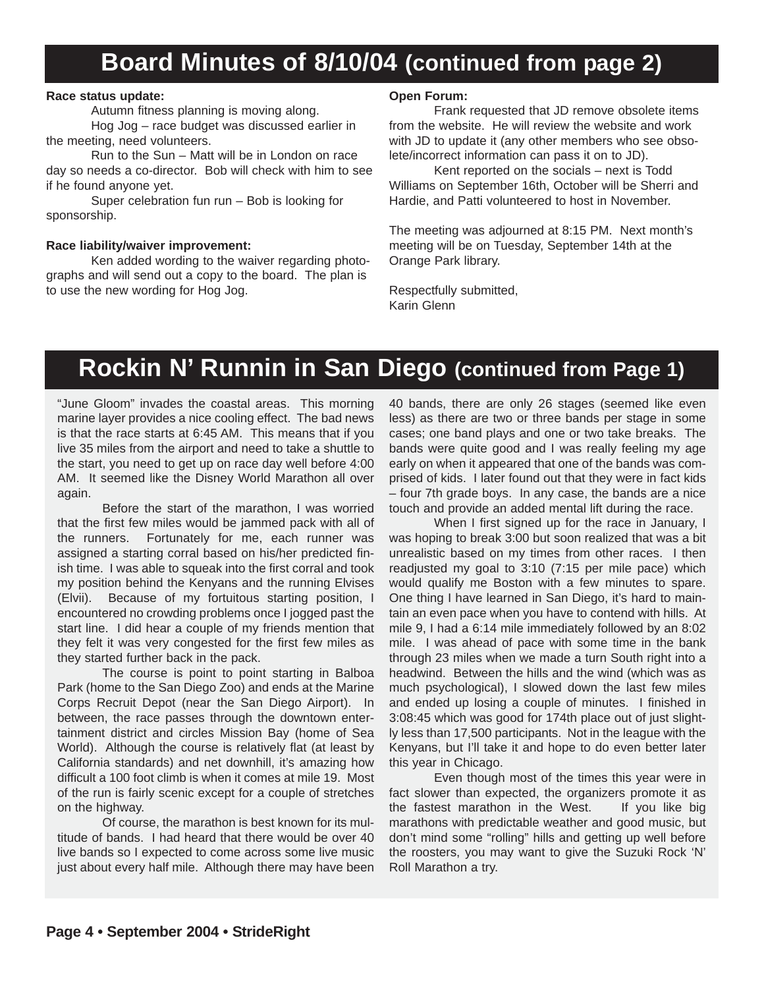## **Board Minutes of 8/10/04 (continued from page 2)**

#### **Race status update:**

Autumn fitness planning is moving along.

Hog Jog – race budget was discussed earlier in the meeting, need volunteers.

Run to the Sun – Matt will be in London on race day so needs a co-director. Bob will check with him to see if he found anyone yet.

Super celebration fun run – Bob is looking for sponsorship.

#### **Race liability/waiver improvement:**

Ken added wording to the waiver regarding photographs and will send out a copy to the board. The plan is to use the new wording for Hog Jog.

### **Open Forum:**

Frank requested that JD remove obsolete items from the website. He will review the website and work with JD to update it (any other members who see obsolete/incorrect information can pass it on to JD).

Kent reported on the socials – next is Todd Williams on September 16th, October will be Sherri and Hardie, and Patti volunteered to host in November.

The meeting was adjourned at 8:15 PM. Next month's meeting will be on Tuesday, September 14th at the Orange Park library.

Respectfully submitted, Karin Glenn

## **Rockin N' Runnin in San Diego (continued from Page 1)**

"June Gloom" invades the coastal areas. This morning marine layer provides a nice cooling effect. The bad news is that the race starts at 6:45 AM. This means that if you live 35 miles from the airport and need to take a shuttle to the start, you need to get up on race day well before 4:00 AM. It seemed like the Disney World Marathon all over again.

Before the start of the marathon, I was worried that the first few miles would be jammed pack with all of the runners. Fortunately for me, each runner was assigned a starting corral based on his/her predicted finish time. I was able to squeak into the first corral and took my position behind the Kenyans and the running Elvises (Elvii). Because of my fortuitous starting position, I encountered no crowding problems once I jogged past the start line. I did hear a couple of my friends mention that they felt it was very congested for the first few miles as they started further back in the pack.

The course is point to point starting in Balboa Park (home to the San Diego Zoo) and ends at the Marine Corps Recruit Depot (near the San Diego Airport). In between, the race passes through the downtown entertainment district and circles Mission Bay (home of Sea World). Although the course is relatively flat (at least by California standards) and net downhill, it's amazing how difficult a 100 foot climb is when it comes at mile 19. Most of the run is fairly scenic except for a couple of stretches on the highway.

Of course, the marathon is best known for its multitude of bands. I had heard that there would be over 40 live bands so I expected to come across some live music just about every half mile. Although there may have been

40 bands, there are only 26 stages (seemed like even less) as there are two or three bands per stage in some cases; one band plays and one or two take breaks. The bands were quite good and I was really feeling my age early on when it appeared that one of the bands was comprised of kids. I later found out that they were in fact kids – four 7th grade boys. In any case, the bands are a nice touch and provide an added mental lift during the race.

When I first signed up for the race in January, I was hoping to break 3:00 but soon realized that was a bit unrealistic based on my times from other races. I then readjusted my goal to 3:10 (7:15 per mile pace) which would qualify me Boston with a few minutes to spare. One thing I have learned in San Diego, it's hard to maintain an even pace when you have to contend with hills. At mile 9, I had a 6:14 mile immediately followed by an 8:02 mile. I was ahead of pace with some time in the bank through 23 miles when we made a turn South right into a headwind. Between the hills and the wind (which was as much psychological), I slowed down the last few miles and ended up losing a couple of minutes. I finished in 3:08:45 which was good for 174th place out of just slightly less than 17,500 participants. Not in the league with the Kenyans, but I'll take it and hope to do even better later this year in Chicago.

Even though most of the times this year were in fact slower than expected, the organizers promote it as the fastest marathon in the West. If you like big marathons with predictable weather and good music, but don't mind some "rolling" hills and getting up well before the roosters, you may want to give the Suzuki Rock 'N' Roll Marathon a try.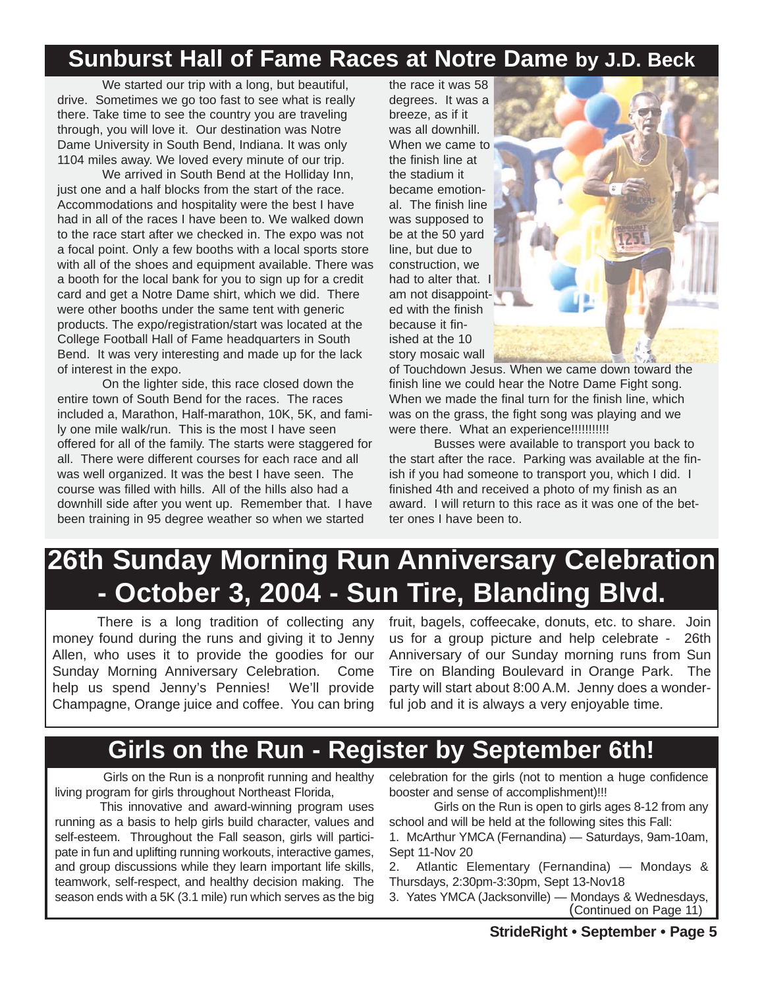### **Sunburst Hall of Fame Races at Notre Dame by J.D. Beck**

We started our trip with a long, but beautiful, drive. Sometimes we go too fast to see what is really there. Take time to see the country you are traveling through, you will love it. Our destination was Notre Dame University in South Bend, Indiana. It was only 1104 miles away. We loved every minute of our trip.

We arrived in South Bend at the Holliday Inn. just one and a half blocks from the start of the race. Accommodations and hospitality were the best I have had in all of the races I have been to. We walked down to the race start after we checked in. The expo was not a focal point. Only a few booths with a local sports store with all of the shoes and equipment available. There was a booth for the local bank for you to sign up for a credit card and get a Notre Dame shirt, which we did. There were other booths under the same tent with generic products. The expo/registration/start was located at the College Football Hall of Fame headquarters in South Bend. It was very interesting and made up for the lack of interest in the expo.

On the lighter side, this race closed down the entire town of South Bend for the races. The races included a, Marathon, Half-marathon, 10K, 5K, and family one mile walk/run. This is the most I have seen offered for all of the family. The starts were staggered for all. There were different courses for each race and all was well organized. It was the best I have seen. The course was filled with hills. All of the hills also had a downhill side after you went up. Remember that. I have been training in 95 degree weather so when we started

the race it was 58 degrees. It was a breeze, as if it was all downhill. When we came to the finish line at the stadium it became emotional. The finish line was supposed to be at the 50 yard line, but due to construction, we had to alter that. I am not disappointed with the finish because it finished at the 10 story mosaic wall



of Touchdown Jesus. When we came down toward the finish line we could hear the Notre Dame Fight song. When we made the final turn for the finish line, which was on the grass, the fight song was playing and we were there. What an experience!!!!!!!!!!!!

Busses were available to transport you back to the start after the race. Parking was available at the finish if you had someone to transport you, which I did. I finished 4th and received a photo of my finish as an award. I will return to this race as it was one of the better ones I have been to

# **26th Sunday Morning Run Anniversary Celebration - October 3, 2004 - Sun Tire, Blanding Blvd.**

There is a long tradition of collecting any money found during the runs and giving it to Jenny Allen, who uses it to provide the goodies for our Sunday Morning Anniversary Celebration. Come help us spend Jenny's Pennies! We'll provide Champagne, Orange juice and coffee. You can bring

fruit, bagels, coffeecake, donuts, etc. to share. Join us for a group picture and help celebrate - 26th Anniversary of our Sunday morning runs from Sun Tire on Blanding Boulevard in Orange Park. The party will start about 8:00 A.M. Jenny does a wonderful job and it is always a very enjoyable time.

### **Girls on the Run - Register by September 6th!**

Girls on the Run is a nonprofit running and healthy living program for girls throughout Northeast Florida,

This innovative and award-winning program uses running as a basis to help girls build character, values and self-esteem. Throughout the Fall season, girls will participate in fun and uplifting running workouts, interactive games, and group discussions while they learn important life skills, teamwork, self-respect, and healthy decision making. The season ends with a 5K (3.1 mile) run which serves as the big

celebration for the girls (not to mention a huge confidence booster and sense of accomplishment)!!!

Girls on the Run is open to girls ages 8-12 from any school and will be held at the following sites this Fall: 1. McArthur YMCA (Fernandina) — Saturdays, 9am-10am, Sept 11-Nov 20

2. Atlantic Elementary (Fernandina) — Mondays & Thursdays, 2:30pm-3:30pm, Sept 13-Nov18

3. Yates YMCA (Jacksonville) — Mondays & Wednesdays, (Continued on Page 11)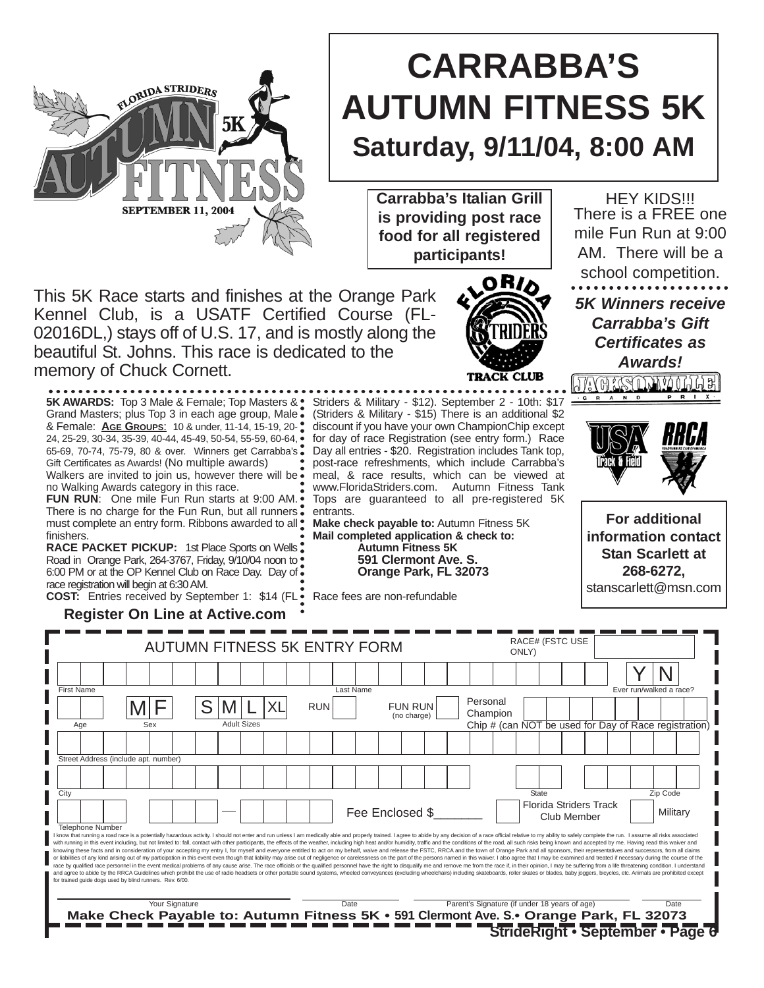

**Carrabba's Italian Grill is providing post race food for all registered participants!**

This 5K Race starts and finishes at the Orange Park Kennel Club, is a USATF Certified Course (FL-02016DL,) stays off of U.S. 17, and is mostly along the beautiful St. Johns. This race is dedicated to the memory of Chuck Cornett.

**5K AWARDS:** Top 3 Male & Female; Top Masters & Grand Masters; plus Top 3 in each age group, Male & Female: **AGE GROUPS**: 10 & under, 11-14, 15-19, 20- 24, 25-29, 30-34, 35-39, 40-44, 45-49, 50-54, 55-59, 60-64, 65-69, 70-74, 75-79, 80 & over. Winners get Carrabba's Gift Certificates as Awards! (No multiple awards)

FLORIDA STRIDERS

**SEPTEMBER 11, 2004** 

Walkers are invited to join us, however there will be  $\ddot{\bullet}$ no Walking Awards category in this race.

**FUN RUN**: One mile Fun Run starts at 9:00 AM. There is no charge for the Fun Run, but all runners . must complete an entry form. Ribbons awarded to all  $\square$ finishers.

**RACE PACKET PICKUP: 1st Place Sports on Wells:** Road in Orange Park, 264-3767, Friday, 9/10/04 noon to • 6:00 PM or at the OP Kennel Club on Race Day. Day of race registration will begin at 6:30 AM. **COST:** Entries received by September 1: \$14 (FL

**Register On Line at Active.com**

#### **StrideRight • September • Page 6** Personal Champion Chip # (can NOT be used for Day of Race registration) AUTUMN FITNESS 5K ENTRY FORM Y  $M \vert F$ N RACE# (FSTC USE ONLY) First Name Ever run/walked a race?<br>
Last Name Ever run/walked a race? Age Street Address (include apt. number) **City** Telephone Number Sex S Adult Sizes State **Zip Code** (no charge) RUN Florida Striders Track Club Member | | Military FUN RUN l know that running a road race is a potentially hazardous activity. I should not enter and run unless I am medically able and properly trained. I agree to abide by any decision of a race official relative to my ability to or liabilities of any kind arising out of my participation in this event even though that liability may arise out of negligence or carelessness on the part of the persons named in this waiver. I also agree that I may be ex race by qualified race personnel in the event medical problems of any cause arise. The race official or the qualified personnel have the right to disqualify me and remove me from the race if, in their opinos the studing se for trained guide dogs used by blind runners. Rev. 6/00. Your Signature **The Parent's Parent's Signature (if under 18 years of age)** Date **Make Check Payable to: Autumn Fitness 5K • 591 Clermont Ave. S**.**• Orange Park, FL 32073**  $M/L$  XL Fee Enclosed \$\_\_\_\_\_\_\_

Striders & Military - \$12). September 2 - 10th: \$17 (Striders & Military - \$15) There is an additional \$2 discount if you have your own ChampionChip except for day of race Registration (see entry form.) Race Day all entries - \$20. Registration includes Tank top, post-race refreshments, which include Carrabba's meal, & race results, which can be viewed at www.FloridaStriders.com. Autumn Fitness Tank Tops are guaranteed to all pre-registered 5K entrants.

**Make check payable to:** Autumn Fitness 5K **Mail completed application & check to: Autumn Fitness 5K 591 Clermont Ave. S. Orange Park, FL 32073**

Race fees are non-refundable

**HEY KIDS!!!** There is a FREE one mile Fun Run at 9:00 AM. There will be a school competition. *5K Winners receive Carrabba's Gift Certificates as Awards!*



<u> JAG KSULWOLLE</u>

**For additional information contact Stan Scarlett at 268-6272,**  stanscarlett@msn.com

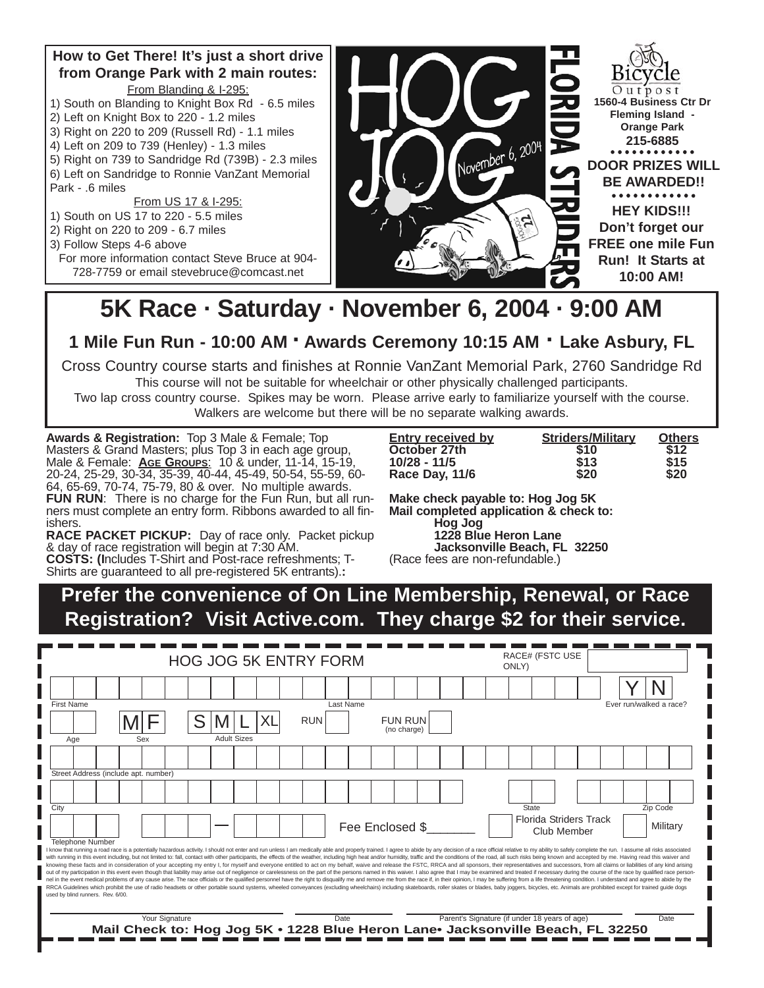### **How to Get There! It's just a short drive from Orange Park with 2 main routes:** From Blanding & I-295:

- 1) South on Blanding to Knight Box Rd 6.5 miles
- 2) Left on Knight Box to 220 1.2 miles
- 3) Right on 220 to 209 (Russell Rd) 1.1 miles
- 4) Left on 209 to 739 (Henley) 1.3 miles
- 5) Right on 739 to Sandridge Rd (739B) 2.3 miles
- 6) Left on Sandridge to Ronnie VanZant Memorial Park - .6 miles

From US 17 & I-295:

- 1) South on US 17 to 220 5.5 miles
- 2) Right on 220 to 209 6.7 miles
- 3) Follow Steps 4-6 above
	- For more information contact Steve Bruce at 904- 728-7759 or email stevebruce@comcast.net



# **5K Race · Saturday · November 6, 2004 · 9:00 AM**

**1 Mile Fun Run - 10:00 AM · Awards Ceremony 10:15 AM · Lake Asbury, FL**

Cross Country course starts and finishes at Ronnie VanZant Memorial Park, 2760 Sandridge Rd

This course will not be suitable for wheelchair or other physically challenged participants.

Two lap cross country course. Spikes may be worn. Please arrive early to familiarize yourself with the course. Walkers are welcome but there will be no separate walking awards.

**Awards & Registration:** Top 3 Male & Female; Top Masters & Grand Masters; plus Top 3 in each age group, Male & Female: **AGE GROUPS**: 10 & under, 11-14, 15-19, 20-24, 25-29, 30-34, 35-39, 40-44, 45-49, 50-54, 55-59, 60- 64, 65-69, 70-74, 75-79, 80 & over. No multiple awards. FUN RUN: There is no charge for the Fun Run, but all runners must complete an entry form. Ribbons awarded to all finishers.

**RACE PACKET PICKUP:** Day of race only. Packet pickup & day of race registration will begin at 7:30 AM.

**COSTS: (I**ncludes T-Shirt and Post-race refreshments; T-Shirts are guaranteed to all pre-registered 5K entrants).**:** 

| <b>Entry received by</b> | <b>Striders/Military</b> | <b>Others</b> |
|--------------------------|--------------------------|---------------|
| October 27th             | \$10                     | \$12          |
| $10/28 - 11/5$           | \$13                     | \$15          |
| Race Day, 11/6           | \$20                     | \$20          |

**Make check payable to: Hog Jog 5K Mail completed application & check to: Hog Jog 1228 Blue Heron Lane Jacksonville Beach, FL 32250**

(Race fees are non-refundable.)

**Prefer the convenience of On Line Membership, Renewal, or Race Registration? Visit Active.com. They charge \$2 for their service.**

|            |                         |                                      |                |  |                    |  |            | <b>HOG JOG 5K ENTRY FORM</b> |                 |                               |  |                                               | ONLY) |       | <b>RACE# (FSTC USE</b>                       |  |                                                                                                                                                                                                                                                                                                                                                                                                                                                                                                                                                                                                                                                                                                                                                                                                                                                                                                                                                                                                                                                                                                                                                                                                                                                                                                                                                                                                          |  |
|------------|-------------------------|--------------------------------------|----------------|--|--------------------|--|------------|------------------------------|-----------------|-------------------------------|--|-----------------------------------------------|-------|-------|----------------------------------------------|--|----------------------------------------------------------------------------------------------------------------------------------------------------------------------------------------------------------------------------------------------------------------------------------------------------------------------------------------------------------------------------------------------------------------------------------------------------------------------------------------------------------------------------------------------------------------------------------------------------------------------------------------------------------------------------------------------------------------------------------------------------------------------------------------------------------------------------------------------------------------------------------------------------------------------------------------------------------------------------------------------------------------------------------------------------------------------------------------------------------------------------------------------------------------------------------------------------------------------------------------------------------------------------------------------------------------------------------------------------------------------------------------------------------|--|
|            |                         |                                      |                |  |                    |  |            |                              |                 |                               |  |                                               |       |       |                                              |  |                                                                                                                                                                                                                                                                                                                                                                                                                                                                                                                                                                                                                                                                                                                                                                                                                                                                                                                                                                                                                                                                                                                                                                                                                                                                                                                                                                                                          |  |
| First Name |                         |                                      |                |  |                    |  |            | Last Name                    |                 |                               |  |                                               |       |       |                                              |  | Ever run/walked a race?                                                                                                                                                                                                                                                                                                                                                                                                                                                                                                                                                                                                                                                                                                                                                                                                                                                                                                                                                                                                                                                                                                                                                                                                                                                                                                                                                                                  |  |
|            |                         |                                      |                |  |                    |  | <b>RUN</b> |                              |                 | <b>FUN RUN</b><br>(no charge) |  |                                               |       |       |                                              |  |                                                                                                                                                                                                                                                                                                                                                                                                                                                                                                                                                                                                                                                                                                                                                                                                                                                                                                                                                                                                                                                                                                                                                                                                                                                                                                                                                                                                          |  |
|            | Age                     |                                      | Sex            |  | <b>Adult Sizes</b> |  |            |                              |                 |                               |  |                                               |       |       |                                              |  |                                                                                                                                                                                                                                                                                                                                                                                                                                                                                                                                                                                                                                                                                                                                                                                                                                                                                                                                                                                                                                                                                                                                                                                                                                                                                                                                                                                                          |  |
|            |                         |                                      |                |  |                    |  |            |                              |                 |                               |  |                                               |       |       |                                              |  |                                                                                                                                                                                                                                                                                                                                                                                                                                                                                                                                                                                                                                                                                                                                                                                                                                                                                                                                                                                                                                                                                                                                                                                                                                                                                                                                                                                                          |  |
|            |                         | Street Address (include apt. number) |                |  |                    |  |            |                              |                 |                               |  |                                               |       |       |                                              |  |                                                                                                                                                                                                                                                                                                                                                                                                                                                                                                                                                                                                                                                                                                                                                                                                                                                                                                                                                                                                                                                                                                                                                                                                                                                                                                                                                                                                          |  |
|            |                         |                                      |                |  |                    |  |            |                              |                 |                               |  |                                               |       |       |                                              |  |                                                                                                                                                                                                                                                                                                                                                                                                                                                                                                                                                                                                                                                                                                                                                                                                                                                                                                                                                                                                                                                                                                                                                                                                                                                                                                                                                                                                          |  |
| City       |                         |                                      |                |  |                    |  |            |                              |                 |                               |  |                                               |       | State |                                              |  | Zip Code                                                                                                                                                                                                                                                                                                                                                                                                                                                                                                                                                                                                                                                                                                                                                                                                                                                                                                                                                                                                                                                                                                                                                                                                                                                                                                                                                                                                 |  |
|            |                         |                                      |                |  |                    |  |            |                              | Fee Enclosed \$ |                               |  |                                               |       |       | <b>Florida Striders Track</b><br>Club Member |  | Military                                                                                                                                                                                                                                                                                                                                                                                                                                                                                                                                                                                                                                                                                                                                                                                                                                                                                                                                                                                                                                                                                                                                                                                                                                                                                                                                                                                                 |  |
|            | <b>Telephone Number</b> | used by blind runners. Rev. 6/00.    |                |  |                    |  |            |                              |                 |                               |  |                                               |       |       |                                              |  | I know that running a road race is a potentially hazardous activity. I should not enter and run unless I am medically able and properly trained. I agree to abide by any decision of a race official relative to my ability to<br>with running in this event including, but not limited to: fall, contact with other participants, the effects of the weather, including high heat and/or humidity, traffic and the conditions of the road, all such risks being<br>knowing these facts and in consideration of your accepting my entry I, for myself and everyone entitled to act on my behalf, waive and release the FSTC, RRCA and all sponsors, their representatives and successors, from all<br>out of my participation in this event even though that liability may arise out of negligence or carelessness on the part of the persons named in this waiver. I also agree that I may be examined and treated if necessary dur<br>nel in the event medical problems of any cause arise. The race officials or the qualified personnel have the right to disqualify me and remove me from the race if, in their opinion, I may be suffering from a life threateni<br>RRCA Guidelines which prohibit the use of radio headsets or other portable sound systems, wheeled conveyances (excluding wheelchairs) including skateboards, roller skates or blades, baby joggers, bicycles, etc. Animals are |  |
|            |                         |                                      | Your Signature |  |                    |  |            | Date                         |                 |                               |  | Parent's Signature (if under 18 years of age) |       |       |                                              |  | Date                                                                                                                                                                                                                                                                                                                                                                                                                                                                                                                                                                                                                                                                                                                                                                                                                                                                                                                                                                                                                                                                                                                                                                                                                                                                                                                                                                                                     |  |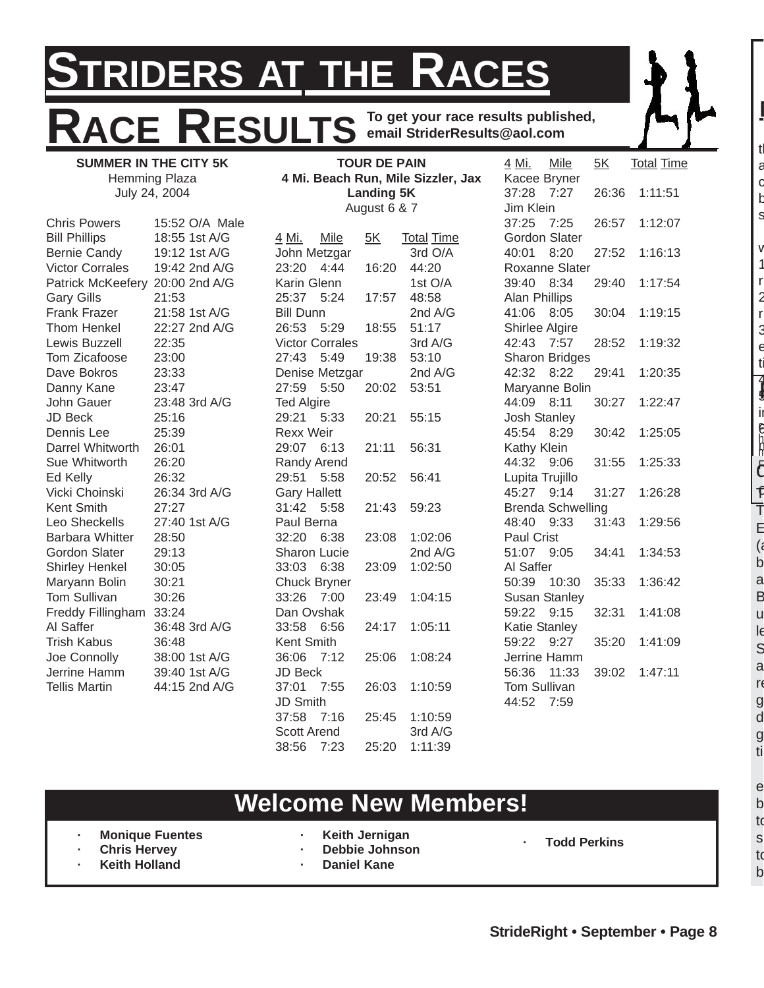# **STRIDERS AT THE RACES RACE RESULTS To get your race results published, email StriderResults@aol.com**

| <b>SUMMER IN THE CITY 5K</b>    |                |                        | <b>TOUR DE PAIN</b> |                                    | 4 Mi.               | Mile                     | 5K    | <b>Total Time</b> |
|---------------------------------|----------------|------------------------|---------------------|------------------------------------|---------------------|--------------------------|-------|-------------------|
|                                 | Hemming Plaza  |                        |                     | 4 Mi. Beach Run, Mile Sizzler, Jax |                     | Kacee Bryner             |       |                   |
|                                 | July 24, 2004  |                        | <b>Landing 5K</b>   |                                    | 37:28 7:27          |                          | 26:36 | 1:11:51           |
|                                 |                |                        | August 6 & 7        |                                    | Jim Klein           |                          |       |                   |
| <b>Chris Powers</b>             | 15:52 O/A Male |                        |                     |                                    | 37:25               | 7:25                     | 26:57 | 1:12:07           |
| <b>Bill Phillips</b>            | 18:55 1st A/G  | 4 Mi.<br>Mile          | 5K                  | <b>Total Time</b>                  |                     | Gordon Slater            |       |                   |
| <b>Bernie Candy</b>             | 19:12 1st A/G  | John Metzgar           |                     | 3rd O/A                            | 40:01               | 8:20                     | 27:52 | 1:16:13           |
| <b>Victor Corrales</b>          | 19:42 2nd A/G  | 23:20<br>4:44          | 16:20               | 44:20                              |                     | Roxanne Slater           |       |                   |
| Patrick McKeefery 20:00 2nd A/G |                | Karin Glenn            |                     | 1st O/A                            | 39:40 8:34          |                          | 29:40 | 1:17:54           |
| <b>Gary Gills</b>               | 21:53          | 25:37 5:24             | 17:57               | 48:58                              | Alan Phillips       |                          |       |                   |
| <b>Frank Frazer</b>             | 21:58 1st A/G  | <b>Bill Dunn</b>       |                     | 2nd A/G                            | 41:06 8:05          |                          | 30:04 | 1:19:15           |
| <b>Thom Henkel</b>              | 22:27 2nd A/G  | 26:53 5:29             | 18:55               | 51:17                              | Shirlee Algire      |                          |       |                   |
| Lewis Buzzell                   | 22:35          | <b>Victor Corrales</b> |                     | 3rd A/G                            | 42:43               | 7:57                     | 28:52 | 1:19:32           |
| Tom Zicafoose                   | 23:00          | 27:43<br>5:49          | 19:38               | 53:10                              |                     | <b>Sharon Bridges</b>    |       |                   |
| Dave Bokros                     | 23:33          | Denise Metzgar         |                     | 2nd A/G                            | 42:32 8:22          |                          | 29:41 | 1:20:35           |
| Danny Kane                      | 23:47          | 27:59 5:50             | 20:02               | 53:51                              |                     | Maryanne Bolin           |       |                   |
| John Gauer                      | 23:48 3rd A/G  | <b>Ted Algire</b>      |                     |                                    | 44:09 8:11          |                          | 30:27 | 1:22:47           |
| JD Beck                         | 25:16          | 29:21 5:33             | 20:21               | 55:15                              | <b>Josh Stanley</b> |                          |       |                   |
| Dennis Lee                      | 25:39          | <b>Rexx Weir</b>       |                     |                                    | 45:54 8:29          |                          | 30:42 | 1:25:05           |
| Darrel Whitworth                | 26:01          | 29:07 6:13             | 21:11               | 56:31                              | Kathy Klein         |                          |       |                   |
| Sue Whitworth                   | 26:20          | Randy Arend            |                     |                                    | 44:32 9:06          |                          | 31:55 | 1:25:33           |
| Ed Kelly                        | 26:32          | 29:51<br>5:58          | 20:52               | 56:41                              | Lupita Trujillo     |                          |       |                   |
| Vicki Choinski                  | 26:34 3rd A/G  | <b>Gary Hallett</b>    |                     |                                    | 45:27 9:14          |                          | 31:27 | 1:26:28           |
| Kent Smith                      | 27:27          | 31:42 5:58             | 21:43               | 59:23                              |                     | <b>Brenda Schwelling</b> |       |                   |
| Leo Sheckells                   | 27:40 1st A/G  | Paul Berna             |                     |                                    | 48:40 9:33          |                          | 31:43 | 1:29:56           |
| <b>Barbara Whitter</b>          | 28:50          | 32:20<br>6:38          | 23:08               | 1:02:06                            | <b>Paul Crist</b>   |                          |       |                   |
| Gordon Slater                   | 29:13          | Sharon Lucie           |                     | 2nd A/G                            | 51:07 9:05          |                          | 34:41 | 1:34:53           |
| <b>Shirley Henkel</b>           | 30:05          | 33:03 6:38             | 23:09               | 1:02:50                            | Al Saffer           |                          |       |                   |
| Maryann Bolin                   | 30:21          | <b>Chuck Bryner</b>    |                     |                                    | 50:39               | 10:30                    | 35:33 | 1:36:42           |
| Tom Sullivan                    | 30:26          | 33:26<br>7:00          | 23:49               | 1:04:15                            |                     | <b>Susan Stanley</b>     |       |                   |
| Freddy Fillingham               | 33:24          | Dan Ovshak             |                     |                                    | 59:22               | 9:15                     | 32:31 | 1:41:08           |
| Al Saffer                       | 36:48 3rd A/G  | 33:58 6:56             | 24:17               | 1:05:11                            | Katie Stanley       |                          |       |                   |
| <b>Trish Kabus</b>              | 36:48          | Kent Smith             |                     |                                    | 59:22 9:27          |                          | 35:20 | 1:41:09           |
| Joe Connolly                    | 38:00 1st A/G  | 36:06<br>7:12          | 25:06               | 1:08:24                            |                     | Jerrine Hamm             |       |                   |
| Jerrine Hamm                    | 39:40 1st A/G  | <b>JD Beck</b>         |                     |                                    | 56:36               | 11:33                    | 39:02 | 1:47:11           |
| <b>Tellis Martin</b>            | 44:15 2nd A/G  | 37:01<br>7:55          | 26:03               | 1:10:59                            | Tom Sullivan        |                          |       |                   |
|                                 |                | JD Smith               |                     |                                    | 44:52               | 7:59                     |       |                   |
|                                 |                | 37:58<br>7:16          | 25:45               | 1:10:59                            |                     |                          |       |                   |
|                                 |                | <b>Scott Arend</b>     |                     | 3rd A/G                            |                     |                          |       |                   |
|                                 |                | 38:56<br>7:23          | 25:20               | 1:11:39                            |                     |                          |       |                   |

# **Welcome New Members!**

**· Monique Fuentes · Chris Hervey**

**Keith Holland** 

**· Keith Jernigan**

**· Daniel Kane**

- **· Debbie Johnson**
- **· Todd Perkins**

to b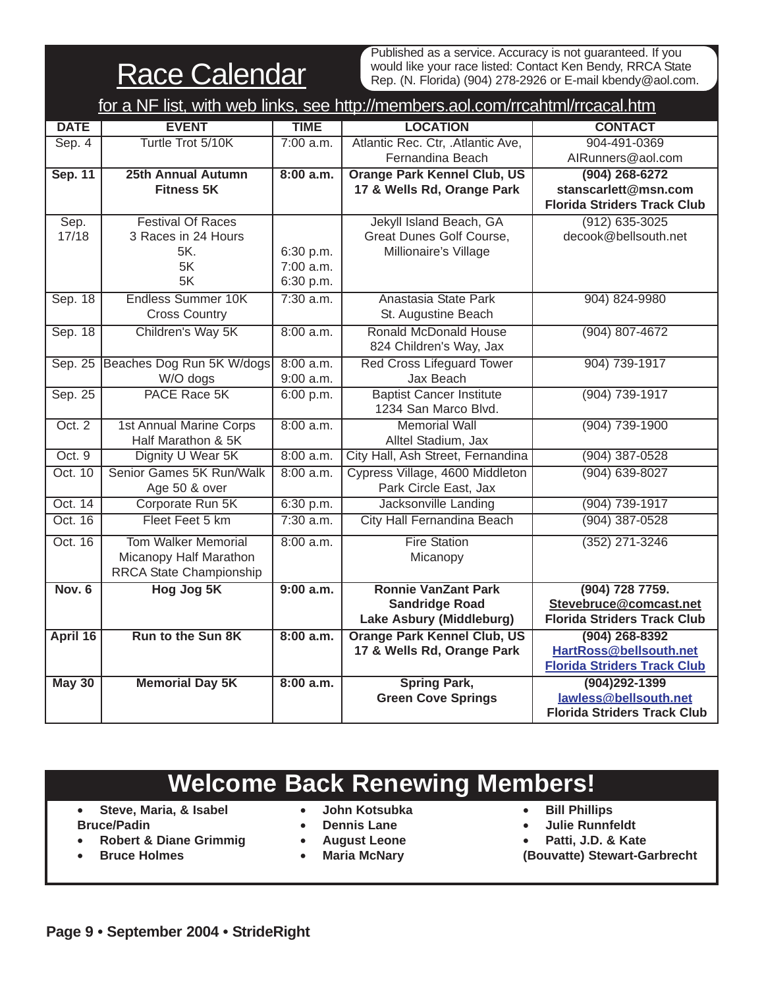Race Calendar

Published as a service. Accuracy is not guaranteed. If you would like your race listed: Contact Ken Bendy, RRCA State Rep. (N. Florida) (904) 278-2926 or E-mail kbendy@aol.com.

|               | for a NF list, with web links, see http://members.aol.com/rrcahtml/rrcacal.htm |             |                                    |                                    |  |  |  |  |  |
|---------------|--------------------------------------------------------------------------------|-------------|------------------------------------|------------------------------------|--|--|--|--|--|
| <b>DATE</b>   | <b>EVENT</b>                                                                   | <b>TIME</b> | <b>LOCATION</b>                    | <b>CONTACT</b>                     |  |  |  |  |  |
| Sep. 4        | Turtle Trot 5/10K                                                              | 7:00 a.m.   | Atlantic Rec. Ctr, .Atlantic Ave,  | 904-491-0369                       |  |  |  |  |  |
|               |                                                                                |             | Fernandina Beach                   | AlRunners@aol.com                  |  |  |  |  |  |
| Sep. 11       | <b>25th Annual Autumn</b>                                                      | 8:00 a.m.   | <b>Orange Park Kennel Club, US</b> | (904) 268-6272                     |  |  |  |  |  |
|               | <b>Fitness 5K</b>                                                              |             | 17 & Wells Rd, Orange Park         | stanscarlett@msn.com               |  |  |  |  |  |
|               |                                                                                |             |                                    | <b>Florida Striders Track Club</b> |  |  |  |  |  |
| Sep.          | <b>Festival Of Races</b>                                                       |             | Jekyll Island Beach, GA            | $(912) 635 - 3025$                 |  |  |  |  |  |
| 17/18         | 3 Races in 24 Hours                                                            |             | Great Dunes Golf Course,           | decook@bellsouth.net               |  |  |  |  |  |
|               | 5K.                                                                            | 6:30 p.m.   | Millionaire's Village              |                                    |  |  |  |  |  |
|               | 5K                                                                             | 7:00 a.m.   |                                    |                                    |  |  |  |  |  |
|               | 5K                                                                             | 6:30 p.m.   |                                    |                                    |  |  |  |  |  |
| Sep. 18       | <b>Endless Summer 10K</b>                                                      | $7:30$ a.m. | Anastasia State Park               | 904) 824-9980                      |  |  |  |  |  |
|               | <b>Cross Country</b>                                                           |             | St. Augustine Beach                |                                    |  |  |  |  |  |
| Sep. 18       | Children's Way 5K                                                              | 8:00 a.m.   | <b>Ronald McDonald House</b>       | $(904) 807 - 4672$                 |  |  |  |  |  |
|               |                                                                                |             | 824 Children's Way, Jax            |                                    |  |  |  |  |  |
| Sep. 25       | Beaches Dog Run 5K W/dogs                                                      | 8:00 a.m.   | <b>Red Cross Lifeguard Tower</b>   | 904) 739-1917                      |  |  |  |  |  |
|               | W/O dogs                                                                       | $9:00$ a.m. | Jax Beach                          |                                    |  |  |  |  |  |
| Sep. 25       | PACE Race 5K                                                                   | 6:00 p.m.   | <b>Baptist Cancer Institute</b>    | $(904) 739 - 1917$                 |  |  |  |  |  |
|               |                                                                                |             | 1234 San Marco Blvd.               |                                    |  |  |  |  |  |
| Oct. 2        | <b>1st Annual Marine Corps</b>                                                 | 8:00 a.m.   | <b>Memorial Wall</b>               | $(904)$ 739-1900                   |  |  |  |  |  |
|               | Half Marathon & 5K                                                             |             | Alltel Stadium, Jax                |                                    |  |  |  |  |  |
| Oct.9         | Dignity U Wear 5K                                                              | 8:00 a.m.   | City Hall, Ash Street, Fernandina  | $(904)$ 387-0528                   |  |  |  |  |  |
| Oct. 10       | Senior Games 5K Run/Walk                                                       | 8:00 a.m.   | Cypress Village, 4600 Middleton    | $(904) 639 - 8027$                 |  |  |  |  |  |
|               | Age 50 & over                                                                  |             | Park Circle East, Jax              |                                    |  |  |  |  |  |
| Oct. 14       | Corporate Run 5K                                                               | 6:30 p.m.   | Jacksonville Landing               | (904) 739-1917                     |  |  |  |  |  |
| Oct. 16       | Fleet Feet 5 km                                                                | $7:30$ a.m. | <b>City Hall Fernandina Beach</b>  | $(904)$ 387-0528                   |  |  |  |  |  |
| Oct. 16       | <b>Tom Walker Memorial</b>                                                     | 8:00 a.m.   | <b>Fire Station</b>                | $(352)$ 271-3246                   |  |  |  |  |  |
|               | Micanopy Half Marathon                                                         |             | Micanopy                           |                                    |  |  |  |  |  |
|               | RRCA State Championship                                                        |             |                                    |                                    |  |  |  |  |  |
| <b>Nov. 6</b> | <b>Hog Jog 5K</b>                                                              | 9:00 a.m.   | <b>Ronnie VanZant Park</b>         | (904) 728 7759.                    |  |  |  |  |  |
|               |                                                                                |             | <b>Sandridge Road</b>              | Stevebruce@comcast.net             |  |  |  |  |  |
|               |                                                                                |             | Lake Asbury (Middleburg)           | <b>Florida Striders Track Club</b> |  |  |  |  |  |
| April 16      | Run to the Sun 8K                                                              | 8:00 a.m.   | <b>Orange Park Kennel Club, US</b> | $(904)$ 268-8392                   |  |  |  |  |  |
|               |                                                                                |             | 17 & Wells Rd, Orange Park         | HartRoss@bellsouth.net             |  |  |  |  |  |
|               |                                                                                |             |                                    | <b>Florida Striders Track Club</b> |  |  |  |  |  |
| <b>May 30</b> | <b>Memorial Day 5K</b>                                                         | 8:00 a.m.   | <b>Spring Park,</b>                | $(904)292 - 1399$                  |  |  |  |  |  |
|               |                                                                                |             | <b>Green Cove Springs</b>          | lawless@bellsouth.net              |  |  |  |  |  |
|               |                                                                                |             |                                    | <b>Florida Striders Track Club</b> |  |  |  |  |  |

# **Welcome Back Renewing Members!**

- **Steve, Maria, & Isabel Bruce/Padin**
- **John Kotsubka**
- **Dennis Lane**
- **Robert & Diane Grimmig** • **Bruce Holmes**
- **August Leone**
	- **Maria McNary**
- **Bill Phillips**
- **Julie Runnfeldt**
- **Patti, J.D. & Kate**
- **(Bouvatte) Stewart-Garbrecht**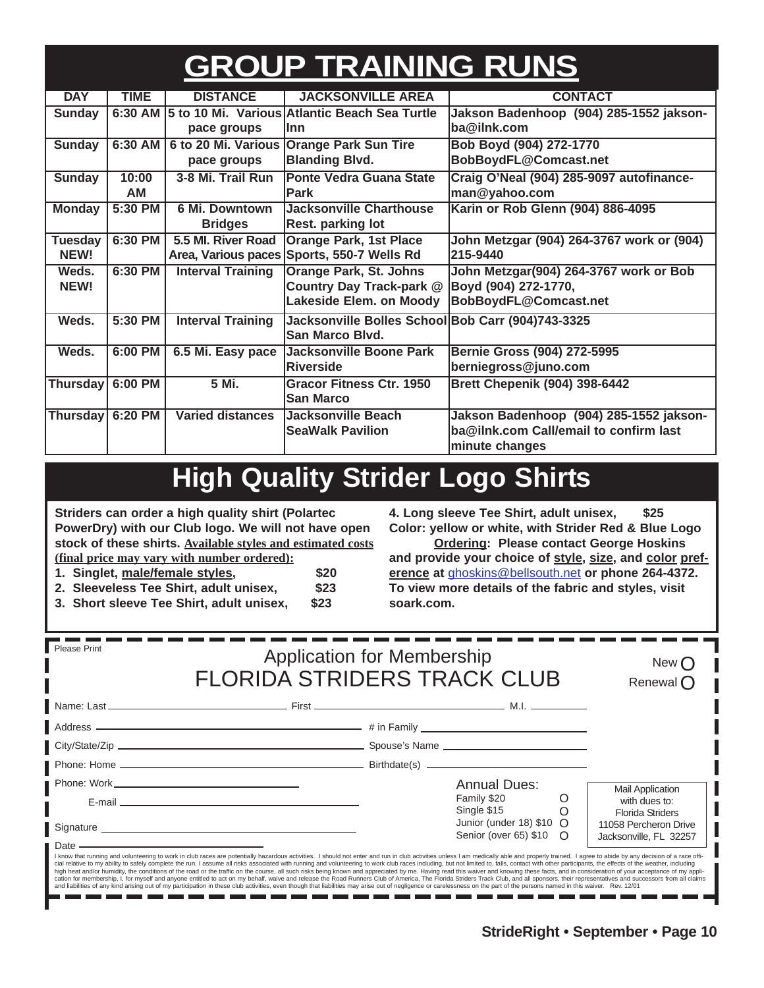# **GROUP TRAINING RUNS**

| <b>DAY</b>       | <b>TIME</b> | <b>DISTANCE</b>          | <b>JACKSONVILLE AREA</b>                          | <b>CONTACT</b>                            |
|------------------|-------------|--------------------------|---------------------------------------------------|-------------------------------------------|
| <b>Sunday</b>    | 6:30 AM     |                          | 5 to 10 Mi. Various Atlantic Beach Sea Turtle     | Jakson Badenhoop (904) 285-1552 jakson-   |
|                  |             | pace groups              | llnn                                              | ba@ilnk.com                               |
| <b>Sunday</b>    | 6:30 AM     |                          | 6 to 20 Mi. Various Orange Park Sun Tire          | Bob Boyd (904) 272-1770                   |
|                  |             | pace groups              | <b>Blanding Blvd.</b>                             | BobBoydFL@Comcast.net                     |
| <b>Sunday</b>    | 10:00       | 3-8 Mi. Trail Run        | <b>Ponte Vedra Guana State</b>                    | Craig O'Neal (904) 285-9097 autofinance-  |
|                  | AM          |                          | <b>Park</b>                                       | man@yahoo.com                             |
| <b>Monday</b>    | 5:30 PM     | 6 Mi. Downtown           | Jacksonville Charthouse                           | Karin or Rob Glenn (904) 886-4095         |
|                  |             | <b>Bridges</b>           | <b>Rest. parking lot</b>                          |                                           |
| <b>Tuesday</b>   | 6:30 PM     | 5.5 MI. River Road       | <b>Orange Park, 1st Place</b>                     | John Metzgar (904) 264-3767 work or (904) |
| NEW!             |             | Area, Various paces      | Sports, 550-7 Wells Rd                            | 215-9440                                  |
| Weds.            | 6:30 PM     | <b>Interval Training</b> | <b>Orange Park, St. Johns</b>                     | John Metzgar(904) 264-3767 work or Bob    |
| NEW!             |             |                          | Country Day Track-park @                          | Boyd (904) 272-1770,                      |
|                  |             |                          | Lakeside Elem. on Moody                           | BobBoydFL@Comcast.net                     |
| Weds.            | 5:30 PM     | <b>Interval Training</b> | Jacksonville Bolles School Bob Carr (904)743-3325 |                                           |
|                  |             |                          | <b>San Marco Blvd.</b>                            |                                           |
| Weds.            | 6:00 PM     | 6.5 Mi. Easy pace        | Jacksonville Boone Park                           | Bernie Gross (904) 272-5995               |
|                  |             |                          | Riverside                                         | berniegross@juno.com                      |
| <b>Thursday</b>  | 6:00 PM     | 5 Mi.                    | <b>Gracor Fitness Ctr. 1950</b>                   | <b>Brett Chepenik (904) 398-6442</b>      |
|                  |             |                          | <b>San Marco</b>                                  |                                           |
| Thursday 6:20 PM |             | <b>Varied distances</b>  | Jacksonville Beach                                | Jakson Badenhoop (904) 285-1552 jakson-   |
|                  |             |                          | <b>SeaWalk Pavilion</b>                           | ba@ilnk.com Call/email to confirm last    |
|                  |             |                          |                                                   | minute changes                            |

# **High Quality Strider Logo Shirts**

**Striders can order a high quality shirt (Polartec PowerDry) with our Club logo. We will not have open stock of these shirts. Available styles and estimated costs (final price may vary with number ordered):**

> n e n e

- **1. Singlet, male/female styles, \$20**
- **2. Sleeveless Tee Shirt, adult unisex, \$23**
- **3. Short sleeve Tee Shirt, adult unisex, \$23**

**4. Long sleeve Tee Shirt, adult unisex, \$25 Color: yellow or white, with Strider Red & Blue Logo**

**Ordering: Please contact George Hoskins and provide your choice of style, size, and color preference at** ghoskins@bellsouth.net **or phone 264-4372. To view more details of the fabric and styles, visit soark.com.**

| Please Print<br><b>Application for Membership</b><br><b>FLORIDA STRIDERS TRACK CLUB</b>                                                                                                                                        | New $\bigcap$<br>Renewal $\bigcap$                                                                                                                                                                                                                                                                                                                                                                                                                                                                                                                                                                                                                                                                                                                                                                                                                                                                                                                                                                                                                                                                                                                                 |   |                                          |
|--------------------------------------------------------------------------------------------------------------------------------------------------------------------------------------------------------------------------------|--------------------------------------------------------------------------------------------------------------------------------------------------------------------------------------------------------------------------------------------------------------------------------------------------------------------------------------------------------------------------------------------------------------------------------------------------------------------------------------------------------------------------------------------------------------------------------------------------------------------------------------------------------------------------------------------------------------------------------------------------------------------------------------------------------------------------------------------------------------------------------------------------------------------------------------------------------------------------------------------------------------------------------------------------------------------------------------------------------------------------------------------------------------------|---|------------------------------------------|
|                                                                                                                                                                                                                                |                                                                                                                                                                                                                                                                                                                                                                                                                                                                                                                                                                                                                                                                                                                                                                                                                                                                                                                                                                                                                                                                                                                                                                    |   |                                          |
|                                                                                                                                                                                                                                |                                                                                                                                                                                                                                                                                                                                                                                                                                                                                                                                                                                                                                                                                                                                                                                                                                                                                                                                                                                                                                                                                                                                                                    |   |                                          |
|                                                                                                                                                                                                                                |                                                                                                                                                                                                                                                                                                                                                                                                                                                                                                                                                                                                                                                                                                                                                                                                                                                                                                                                                                                                                                                                                                                                                                    |   |                                          |
|                                                                                                                                                                                                                                |                                                                                                                                                                                                                                                                                                                                                                                                                                                                                                                                                                                                                                                                                                                                                                                                                                                                                                                                                                                                                                                                                                                                                                    |   |                                          |
|                                                                                                                                                                                                                                | <b>Annual Dues:</b>                                                                                                                                                                                                                                                                                                                                                                                                                                                                                                                                                                                                                                                                                                                                                                                                                                                                                                                                                                                                                                                                                                                                                |   | <b>Mail Application</b>                  |
| E-mail entertainment and the contract of the contract of the contract of the contract of the contract of the contract of the contract of the contract of the contract of the contract of the contract of the contract of the c | Family \$20<br>Single \$15                                                                                                                                                                                                                                                                                                                                                                                                                                                                                                                                                                                                                                                                                                                                                                                                                                                                                                                                                                                                                                                                                                                                         | O | with dues to:<br><b>Florida Striders</b> |
|                                                                                                                                                                                                                                | Junior (under 18) $$10 \Omega$<br>Senior (over 65) \$10 O                                                                                                                                                                                                                                                                                                                                                                                                                                                                                                                                                                                                                                                                                                                                                                                                                                                                                                                                                                                                                                                                                                          |   | 11058 Percheron Drive                    |
| <u> 1989 - Johann Stein, mars an de Frankrik (f. 1989)</u><br>Date -                                                                                                                                                           | I know that running and volunteering to work in club races are potentially hazardous activities. I should not enter and run in club activities unless I am medically able and properly trained. I agree to abide by any decisi<br>cial relative to my ability to safely complete the run. I assume all risks associated with running and volunteering to work club races including, but not limited to, falls, contact with other participants, the effects of t<br>high heat and/or humidity, the conditions of the road or the traffic on the course, all such risks being known and appreciated by me. Having read this waiver and knowing these facts, and in consideration of your acceptance<br>cation for membership, I, for myself and anyone entitled to act on my behalf, waive and release the Road Runners Club of America, The Florida Striders Track Club, and all sponsors, their representatives and successors from<br>and liabilities of any kind arising out of my participation in these club activities, even though that liabilities may arise out of negligence or carelessness on the part of the persons named in this waiver. Rev. 12/01 |   | Jacksonville, FL 32257                   |

n m a est

n m

- - - -

m m n e n e n e n e

n n n m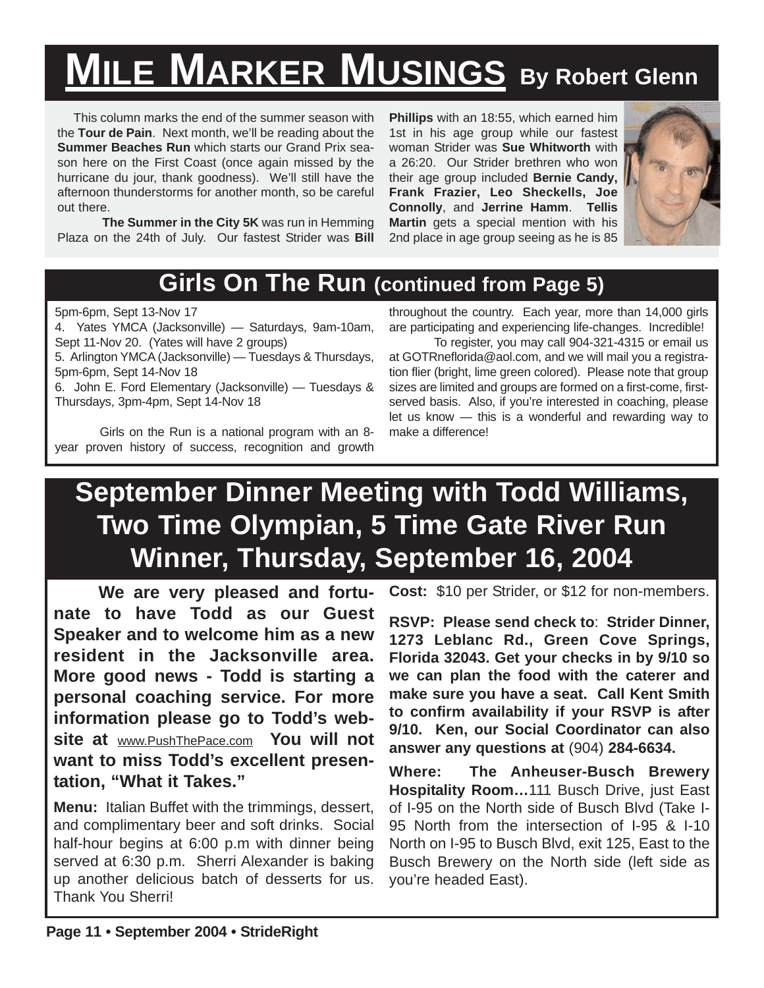# **MILE MARKER MUSINGS By Robert Glenn**

This column marks the end of the summer season with the **Tour de Pain**. Next month, we'll be reading about the **Summer Beaches Run** which starts our Grand Prix season here on the First Coast (once again missed by the hurricane du jour, thank goodness). We'll still have the afternoon thunderstorms for another month, so be careful out there.

**The Summer in the City 5K** was run in Hemming Plaza on the 24th of July. Our fastest Strider was **Bill**

**Phillips** with an 18:55, which earned him 1st in his age group while our fastest woman Strider was **Sue Whitworth** with a 26:20. Our Strider brethren who won their age group included **Bernie Candy, Frank Frazier, Leo Sheckells, Joe Connolly**, and **Jerrine Hamm**. **Tellis Martin** gets a special mention with his 2nd place in age group seeing as he is 85



## **Girls On The Run (continued from Page 5)**

### 5pm-6pm, Sept 13-Nov 17

4. Yates YMCA (Jacksonville) — Saturdays, 9am-10am, Sept 11-Nov 20. (Yates will have 2 groups)

5. Arlington YMCA (Jacksonville) — Tuesdays & Thursdays, 5pm-6pm, Sept 14-Nov 18

6. John E. Ford Elementary (Jacksonville) — Tuesdays & Thursdays, 3pm-4pm, Sept 14-Nov 18

Girls on the Run is a national program with an 8 year proven history of success, recognition and growth

throughout the country. Each year, more than 14,000 girls are participating and experiencing life-changes. Incredible!

To register, you may call 904-321-4315 or email us at GOTRneflorida@aol.com, and we will mail you a registration flier (bright, lime green colored). Please note that group sizes are limited and groups are formed on a first-come, firstserved basis. Also, if you're interested in coaching, please let us know — this is a wonderful and rewarding way to make a difference!

# **September Dinner Meeting with Todd Williams, Two Time Olympian, 5 Time Gate River Run Winner, Thursday, September 16, 2004**

**We are very pleased and fortunate to have Todd as our Guest Speaker and to welcome him as a new resident in the Jacksonville area. More good news - Todd is starting a personal coaching service. For more information please go to Todd's website at** www.PushThePace.com **You will not want to miss Todd's excellent presentation, "What it Takes."**

**Menu:** Italian Buffet with the trimmings, dessert, and complimentary beer and soft drinks. Social half-hour begins at 6:00 p.m with dinner being served at 6:30 p.m. Sherri Alexander is baking up another delicious batch of desserts for us. Thank You Sherri!

**Cost:** \$10 per Strider, or \$12 for non-members.

**RSVP: Please send check to**: **Strider Dinner, 1273 Leblanc Rd., Green Cove Springs, Florida 32043. Get your checks in by 9/10 so we can plan the food with the caterer and make sure you have a seat. Call Kent Smith to confirm availability if your RSVP is after 9/10. Ken, our Social Coordinator can also answer any questions at** (904) **284-6634.**

**Where: The Anheuser-Busch Brewery Hospitality Room…**111 Busch Drive, just East of I-95 on the North side of Busch Blvd (Take I-95 North from the intersection of I-95 & I-10 North on I-95 to Busch Blvd, exit 125, East to the Busch Brewery on the North side (left side as you're headed East).